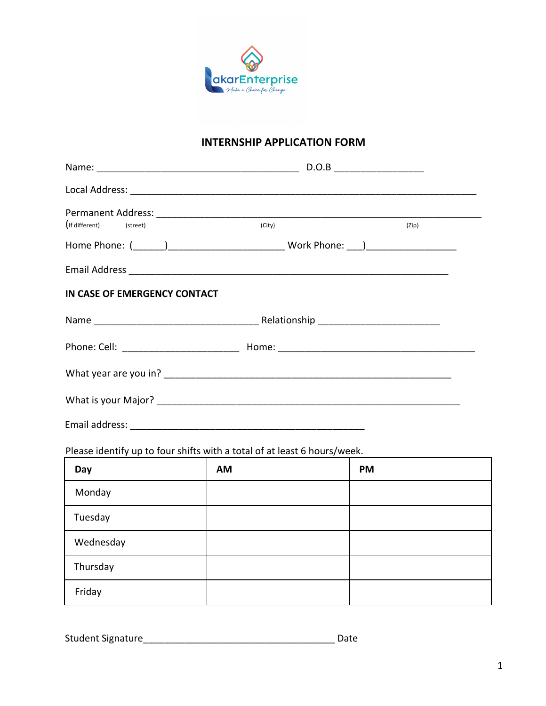

## **INTERNSHIP APPLICATION FORM**

| (If different) (street)                      | (City) | (Zip) |
|----------------------------------------------|--------|-------|
|                                              |        |       |
|                                              |        |       |
| IN CASE OF EMERGENCY CONTACT                 |        |       |
|                                              |        |       |
|                                              |        |       |
|                                              |        |       |
|                                              |        |       |
| Email address: <u>______________________</u> |        |       |

Please identify up to four shifts with a total of at least 6 hours/week.

| Day       | <b>AM</b> | <b>PM</b> |
|-----------|-----------|-----------|
| Monday    |           |           |
| Tuesday   |           |           |
| Wednesday |           |           |
| Thursday  |           |           |
| Friday    |           |           |

Student Signature\_\_\_\_\_\_\_\_\_\_\_\_\_\_\_\_\_\_\_\_\_\_\_\_\_\_\_\_\_\_\_\_\_\_\_\_ Date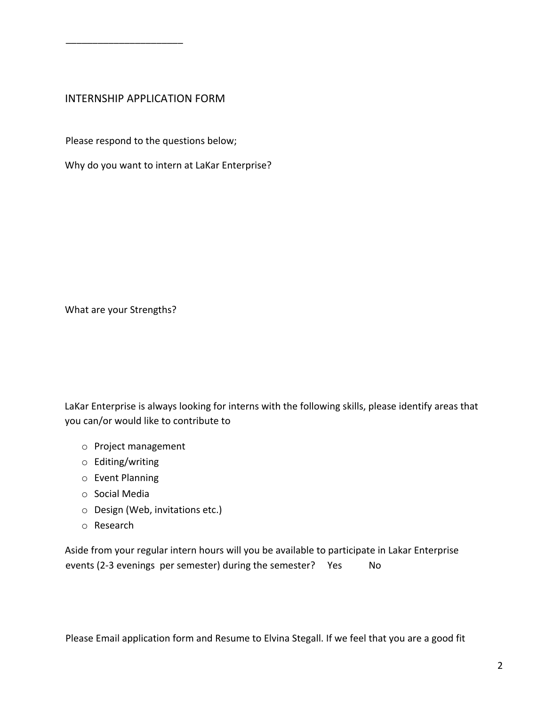## INTERNSHIP APPLICATION FORM

\_\_\_\_\_\_\_\_\_\_\_\_\_\_\_\_\_\_\_\_\_\_

Please respond to the questions below;

Why do you want to intern at LaKar Enterprise?

What are your Strengths?

LaKar Enterprise is always looking for interns with the following skills, please identify areas that you can/or would like to contribute to

- o Project management
- o Editing/writing
- o Event Planning
- o Social Media
- o Design (Web, invitations etc.)
- o Research

Aside from your regular intern hours will you be available to participate in Lakar Enterprise events (2-3 evenings per semester) during the semester? Yes No

Please Email application form and Resume to Elvina Stegall. If we feel that you are a good fit